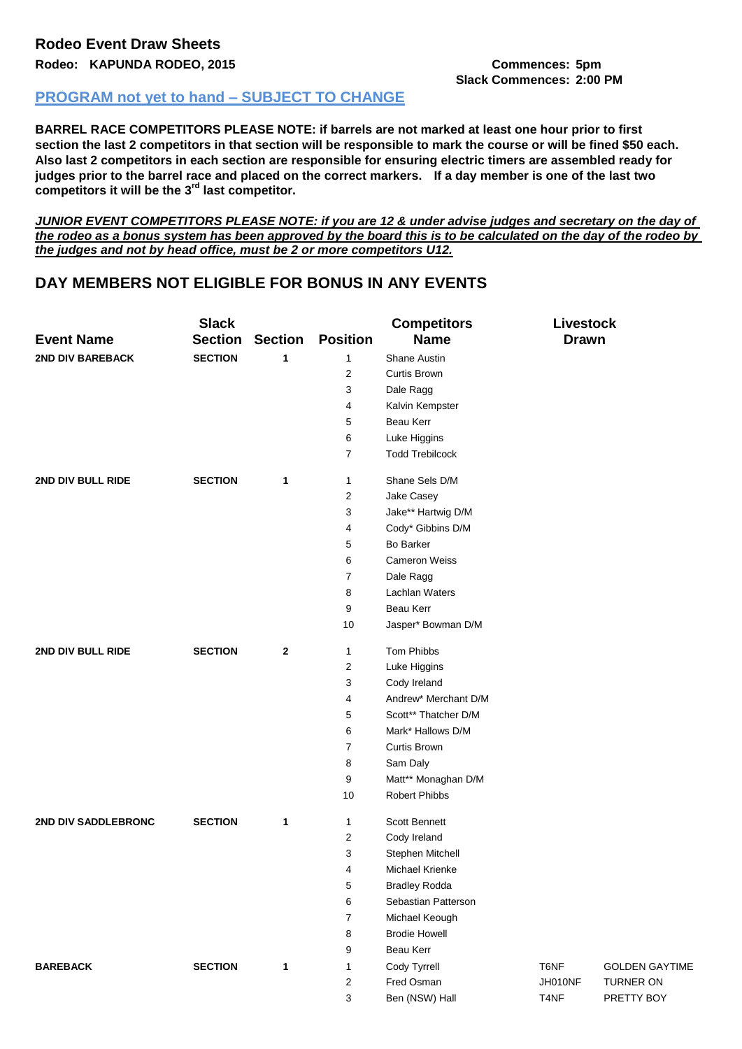## **Slack Commences: 2:00 PM**

## **PROGRAM not yet to hand – SUBJECT TO CHANGE**

**BARREL RACE COMPETITORS PLEASE NOTE: if barrels are not marked at least one hour prior to first section the last 2 competitors in that section will be responsible to mark the course or will be fined \$50 each. Also last 2 competitors in each section are responsible for ensuring electric timers are assembled ready for judges prior to the barrel race and placed on the correct markers. If a day member is one of the last two competitors it will be the 3rd last competitor.**

*JUNIOR EVENT COMPETITORS PLEASE NOTE: if you are 12 & under advise judges and secretary on the day of the rodeo as a bonus system has been approved by the board this is to be calculated on the day of the rodeo by the judges and not by head office, must be 2 or more competitors U12.*

## **DAY MEMBERS NOT ELIGIBLE FOR BONUS IN ANY EVENTS**

|                         | <b>Slack</b>   |                |                 | <b>Competitors</b>     | Livestock    |                       |
|-------------------------|----------------|----------------|-----------------|------------------------|--------------|-----------------------|
| <b>Event Name</b>       | <b>Section</b> | <b>Section</b> | <b>Position</b> | <b>Name</b>            | <b>Drawn</b> |                       |
| <b>2ND DIV BAREBACK</b> | <b>SECTION</b> | 1              | 1               | <b>Shane Austin</b>    |              |                       |
|                         |                |                | 2               | Curtis Brown           |              |                       |
|                         |                |                | 3               | Dale Ragg              |              |                       |
|                         |                |                | 4               | Kalvin Kempster        |              |                       |
|                         |                |                | 5               | Beau Kerr              |              |                       |
|                         |                |                | 6               | Luke Higgins           |              |                       |
|                         |                |                | 7               | <b>Todd Trebilcock</b> |              |                       |
| 2ND DIV BULL RIDE       | <b>SECTION</b> | 1              | 1               | Shane Sels D/M         |              |                       |
|                         |                |                | 2               | Jake Casey             |              |                       |
|                         |                |                | 3               | Jake** Hartwig D/M     |              |                       |
|                         |                |                | 4               | Cody* Gibbins D/M      |              |                       |
|                         |                |                | 5               | <b>Bo Barker</b>       |              |                       |
|                         |                |                | 6               | <b>Cameron Weiss</b>   |              |                       |
|                         |                |                | 7               | Dale Ragg              |              |                       |
|                         |                |                | 8               | Lachlan Waters         |              |                       |
|                         |                |                | 9               | Beau Kerr              |              |                       |
|                         |                |                | 10              | Jasper* Bowman D/M     |              |                       |
| 2ND DIV BULL RIDE       | <b>SECTION</b> | $\mathbf 2$    | 1               | Tom Phibbs             |              |                       |
|                         |                |                | 2               | Luke Higgins           |              |                       |
|                         |                |                | 3               | Cody Ireland           |              |                       |
|                         |                |                | 4               | Andrew* Merchant D/M   |              |                       |
|                         |                |                | 5               | Scott** Thatcher D/M   |              |                       |
|                         |                |                | 6               | Mark* Hallows D/M      |              |                       |
|                         |                |                | 7               | Curtis Brown           |              |                       |
|                         |                |                | 8               | Sam Daly               |              |                       |
|                         |                |                | 9               | Matt** Monaghan D/M    |              |                       |
|                         |                |                | 10              | <b>Robert Phibbs</b>   |              |                       |
| 2ND DIV SADDLEBRONC     | <b>SECTION</b> | $\mathbf{1}$   | 1               | <b>Scott Bennett</b>   |              |                       |
|                         |                |                | 2               | Cody Ireland           |              |                       |
|                         |                |                | 3               | Stephen Mitchell       |              |                       |
|                         |                |                | 4               | <b>Michael Krienke</b> |              |                       |
|                         |                |                | 5               | <b>Bradley Rodda</b>   |              |                       |
|                         |                |                | 6               | Sebastian Patterson    |              |                       |
|                         |                |                | 7               | Michael Keough         |              |                       |
|                         |                |                | 8               | <b>Brodie Howell</b>   |              |                       |
|                         |                |                | 9               | Beau Kerr              |              |                       |
| <b>BAREBACK</b>         | <b>SECTION</b> | $\mathbf{1}$   | 1               | Cody Tyrrell           | T6NF         | <b>GOLDEN GAYTIME</b> |
|                         |                |                | 2               | Fred Osman             | JH010NF      | TURNER ON             |
|                         |                |                | 3               | Ben (NSW) Hall         | T4NF         | PRETTY BOY            |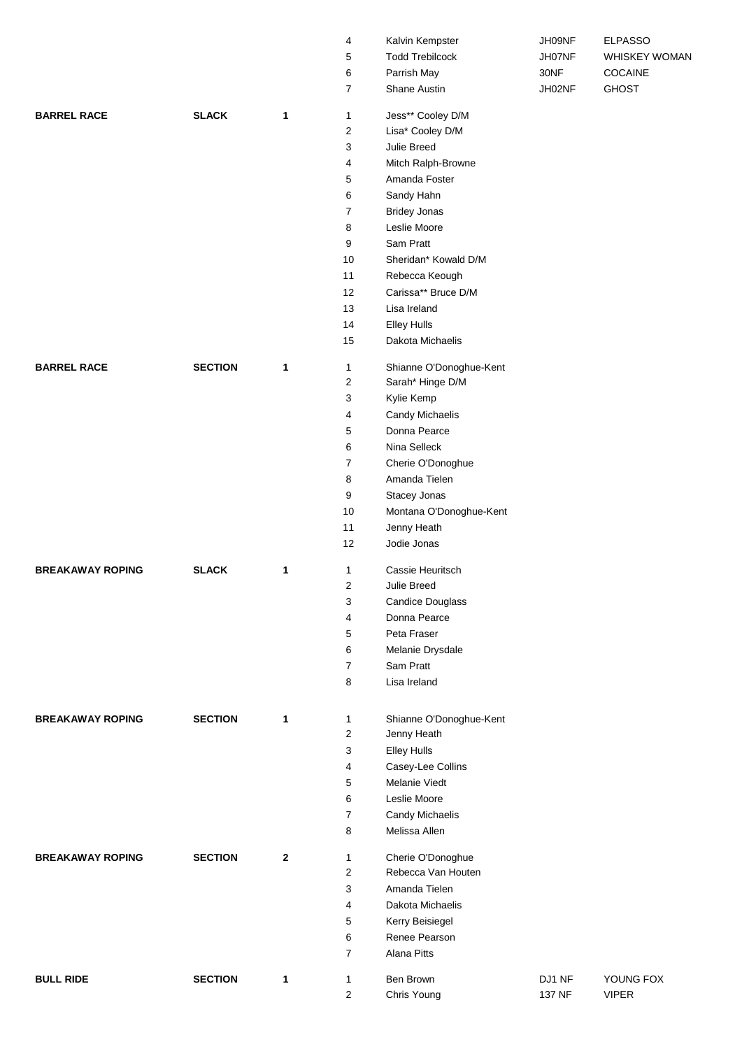|                         |                |              | 4                       | Kalvin Kempster                         | JH09NF | <b>ELPASSO</b> |  |  |  |
|-------------------------|----------------|--------------|-------------------------|-----------------------------------------|--------|----------------|--|--|--|
|                         |                |              | 5                       | <b>Todd Trebilcock</b>                  | JH07NF | WHISKEY WOMAN  |  |  |  |
|                         |                |              | 6                       | Parrish May                             | 30NF   | COCAINE        |  |  |  |
|                         |                |              | $\overline{7}$          | Shane Austin                            | JH02NF | <b>GHOST</b>   |  |  |  |
|                         |                |              |                         |                                         |        |                |  |  |  |
| <b>BARREL RACE</b>      | <b>SLACK</b>   | $\mathbf{1}$ | $\mathbf{1}$            | Jess** Cooley D/M                       |        |                |  |  |  |
|                         |                |              | $\overline{c}$          | Lisa* Cooley D/M                        |        |                |  |  |  |
|                         |                |              | 3                       | Julie Breed                             |        |                |  |  |  |
|                         |                |              | 4                       | Mitch Ralph-Browne                      |        |                |  |  |  |
|                         |                |              | 5                       | Amanda Foster                           |        |                |  |  |  |
|                         |                |              | 6                       | Sandy Hahn                              |        |                |  |  |  |
|                         |                |              | $\overline{7}$          | <b>Bridey Jonas</b>                     |        |                |  |  |  |
|                         |                |              | 8                       | Leslie Moore                            |        |                |  |  |  |
|                         |                |              | 9                       | Sam Pratt                               |        |                |  |  |  |
|                         |                |              | 10                      | Sheridan* Kowald D/M                    |        |                |  |  |  |
|                         |                |              | 11                      | Rebecca Keough                          |        |                |  |  |  |
|                         |                |              | 12                      | Carissa** Bruce D/M                     |        |                |  |  |  |
|                         |                |              | 13                      | Lisa Ireland                            |        |                |  |  |  |
|                         |                |              | 14                      | <b>Elley Hulls</b>                      |        |                |  |  |  |
|                         |                |              | 15                      | Dakota Michaelis                        |        |                |  |  |  |
| <b>BARREL RACE</b>      | <b>SECTION</b> | 1            | 1                       | Shianne O'Donoghue-Kent                 |        |                |  |  |  |
|                         |                |              | 2                       | Sarah* Hinge D/M                        |        |                |  |  |  |
|                         |                |              | 3                       | Kylie Kemp                              |        |                |  |  |  |
|                         |                |              | 4                       | Candy Michaelis                         |        |                |  |  |  |
|                         |                |              | 5                       | Donna Pearce                            |        |                |  |  |  |
|                         |                |              | 6                       | Nina Selleck                            |        |                |  |  |  |
|                         |                |              |                         |                                         |        |                |  |  |  |
|                         |                |              | 7                       | Cherie O'Donoghue<br>Amanda Tielen      |        |                |  |  |  |
|                         |                |              | 8                       |                                         |        |                |  |  |  |
|                         |                |              | 9                       | Stacey Jonas                            |        |                |  |  |  |
|                         |                |              | 10                      | Montana O'Donoghue-Kent                 |        |                |  |  |  |
|                         |                |              | 11                      | Jenny Heath                             |        |                |  |  |  |
|                         |                |              | 12                      | Jodie Jonas                             |        |                |  |  |  |
| <b>BREAKAWAY ROPING</b> | <b>SLACK</b>   | 1            | 1                       | Cassie Heuritsch                        |        |                |  |  |  |
|                         |                |              | $\overline{2}$          | Julie Breed                             |        |                |  |  |  |
|                         |                |              | 3                       | <b>Candice Douglass</b>                 |        |                |  |  |  |
|                         |                |              | 4                       | Donna Pearce                            |        |                |  |  |  |
|                         |                |              | 5                       | Peta Fraser                             |        |                |  |  |  |
|                         |                |              | 6                       | Melanie Drysdale                        |        |                |  |  |  |
|                         |                |              | $\overline{7}$          | Sam Pratt                               |        |                |  |  |  |
|                         |                |              | 8                       | Lisa Ireland                            |        |                |  |  |  |
|                         |                |              |                         |                                         |        |                |  |  |  |
| <b>BREAKAWAY ROPING</b> | <b>SECTION</b> | 1            | 1                       | Shianne O'Donoghue-Kent                 |        |                |  |  |  |
|                         |                |              | $\overline{\mathbf{c}}$ | Jenny Heath                             |        |                |  |  |  |
|                         |                |              | 3                       | <b>Elley Hulls</b>                      |        |                |  |  |  |
|                         |                |              | 4                       | Casey-Lee Collins                       |        |                |  |  |  |
|                         |                |              | 5                       | Melanie Viedt                           |        |                |  |  |  |
|                         |                |              | 6                       | Leslie Moore                            |        |                |  |  |  |
|                         |                |              | $\overline{7}$          | Candy Michaelis                         |        |                |  |  |  |
|                         |                |              | 8                       | Melissa Allen                           |        |                |  |  |  |
|                         |                |              |                         |                                         |        |                |  |  |  |
| <b>BREAKAWAY ROPING</b> | <b>SECTION</b> | $\mathbf{2}$ | 1<br>$\mathbf{2}$       | Cherie O'Donoghue<br>Rebecca Van Houten |        |                |  |  |  |
|                         |                |              |                         |                                         |        |                |  |  |  |
|                         |                |              | 3                       | Amanda Tielen                           |        |                |  |  |  |
|                         |                |              | 4                       | Dakota Michaelis                        |        |                |  |  |  |
|                         |                |              | 5                       | Kerry Beisiegel                         |        |                |  |  |  |
|                         |                |              | 6                       | Renee Pearson                           |        |                |  |  |  |
|                         |                |              | $\overline{7}$          | Alana Pitts                             |        |                |  |  |  |
| <b>BULL RIDE</b>        | <b>SECTION</b> | $\mathbf{1}$ | 1                       | Ben Brown                               | DJ1 NF | YOUNG FOX      |  |  |  |
|                         |                |              | $\overline{\mathbf{c}}$ | Chris Young                             | 137 NF | <b>VIPER</b>   |  |  |  |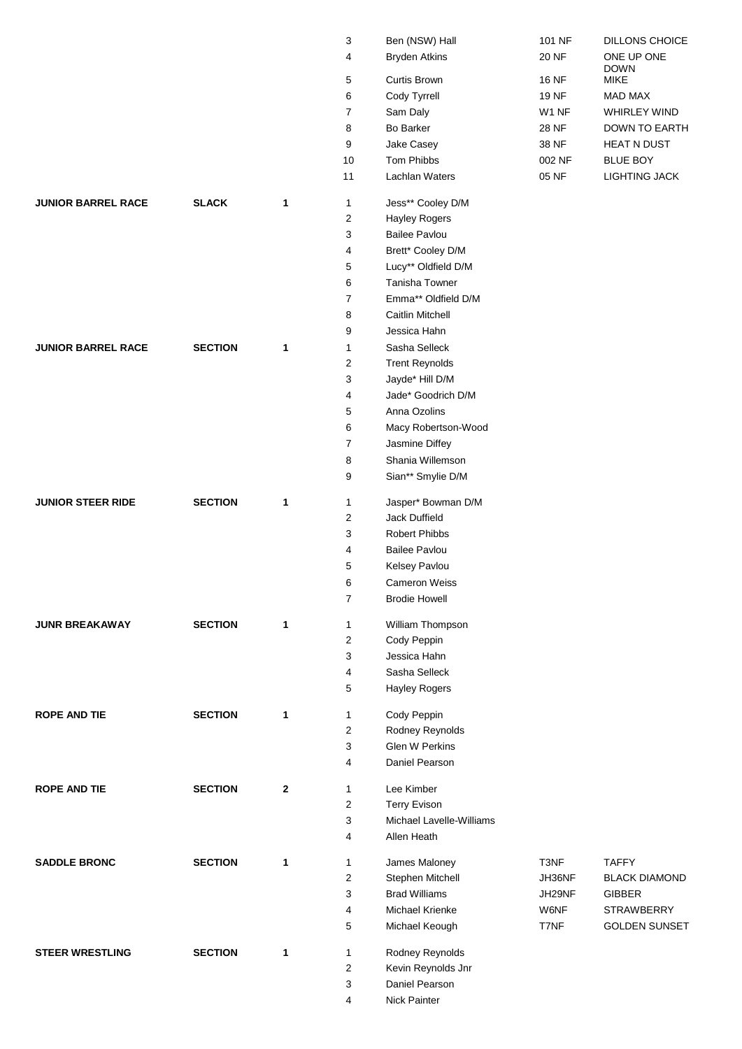|                           |                |              | 3              | Ben (NSW) Hall           | 101 NF       | DILLONS CHOICE            |
|---------------------------|----------------|--------------|----------------|--------------------------|--------------|---------------------------|
|                           |                |              | 4              | <b>Bryden Atkins</b>     | <b>20 NF</b> | ONE UP ONE<br><b>DOWN</b> |
|                           |                |              | 5              | <b>Curtis Brown</b>      | <b>16 NF</b> | MIKE                      |
|                           |                |              | 6              | Cody Tyrrell             | <b>19 NF</b> | MAD MAX                   |
|                           |                |              | $\overline{7}$ | Sam Daly                 | W1 NF        | WHIRLEY WIND              |
|                           |                |              | 8              | <b>Bo Barker</b>         | 28 NF        | DOWN TO EARTH             |
|                           |                |              | 9              | Jake Casey               | 38 NF        | <b>HEAT N DUST</b>        |
|                           |                |              | 10             | Tom Phibbs               | 002 NF       | <b>BLUE BOY</b>           |
|                           |                |              | 11             | Lachlan Waters           | 05 NF        | LIGHTING JACK             |
| <b>JUNIOR BARREL RACE</b> | <b>SLACK</b>   | $\mathbf{1}$ | 1              | Jess** Cooley D/M        |              |                           |
|                           |                |              | 2              | <b>Hayley Rogers</b>     |              |                           |
|                           |                |              | 3              | <b>Bailee Pavlou</b>     |              |                           |
|                           |                |              | 4              | Brett* Cooley D/M        |              |                           |
|                           |                |              | 5              | Lucy** Oldfield D/M      |              |                           |
|                           |                |              | 6              | Tanisha Towner           |              |                           |
|                           |                |              | $\overline{7}$ | Emma** Oldfield D/M      |              |                           |
|                           |                |              | 8              | Caitlin Mitchell         |              |                           |
|                           |                |              | 9              | Jessica Hahn             |              |                           |
| <b>JUNIOR BARREL RACE</b> | <b>SECTION</b> | 1            | 1              | Sasha Selleck            |              |                           |
|                           |                |              | $\overline{c}$ | <b>Trent Reynolds</b>    |              |                           |
|                           |                |              | 3              | Jayde* Hill D/M          |              |                           |
|                           |                |              | 4              | Jade* Goodrich D/M       |              |                           |
|                           |                |              | 5              | Anna Ozolins             |              |                           |
|                           |                |              | 6              | Macy Robertson-Wood      |              |                           |
|                           |                |              | $\overline{7}$ | Jasmine Diffey           |              |                           |
|                           |                |              | 8              | Shania Willemson         |              |                           |
|                           |                |              | 9              | Sian** Smylie D/M        |              |                           |
| <b>JUNIOR STEER RIDE</b>  | <b>SECTION</b> | 1            | 1              | Jasper* Bowman D/M       |              |                           |
|                           |                |              | 2              | Jack Duffield            |              |                           |
|                           |                |              | 3              | <b>Robert Phibbs</b>     |              |                           |
|                           |                |              | 4              | <b>Bailee Pavlou</b>     |              |                           |
|                           |                |              | 5              | Kelsey Pavlou            |              |                           |
|                           |                |              | 6              | <b>Cameron Weiss</b>     |              |                           |
|                           |                |              | $\overline{7}$ | <b>Brodie Howell</b>     |              |                           |
| <b>JUNR BREAKAWAY</b>     | <b>SECTION</b> | 1            | 1              | William Thompson         |              |                           |
|                           |                |              | 2              | Cody Peppin              |              |                           |
|                           |                |              | 3              | Jessica Hahn             |              |                           |
|                           |                |              | 4              | Sasha Selleck            |              |                           |
|                           |                |              | 5              | <b>Hayley Rogers</b>     |              |                           |
| <b>ROPE AND TIE</b>       | <b>SECTION</b> | 1            | 1              | Cody Peppin              |              |                           |
|                           |                |              | $\overline{c}$ | Rodney Reynolds          |              |                           |
|                           |                |              | 3              | <b>Glen W Perkins</b>    |              |                           |
|                           |                |              | 4              | Daniel Pearson           |              |                           |
| <b>ROPE AND TIE</b>       | <b>SECTION</b> | $\mathbf{2}$ | 1              | Lee Kimber               |              |                           |
|                           |                |              | $\overline{c}$ | <b>Terry Evison</b>      |              |                           |
|                           |                |              | 3              | Michael Lavelle-Williams |              |                           |
|                           |                |              | 4              | Allen Heath              |              |                           |
| <b>SADDLE BRONC</b>       | <b>SECTION</b> | 1            | 1              | James Maloney            | T3NF         | <b>TAFFY</b>              |
|                           |                |              | 2              | Stephen Mitchell         | JH36NF       | <b>BLACK DIAMOND</b>      |
|                           |                |              | 3              | <b>Brad Williams</b>     | JH29NF       | <b>GIBBER</b>             |
|                           |                |              | 4              | Michael Krienke          | W6NF         | <b>STRAWBERRY</b>         |
|                           |                |              | 5              | Michael Keough           | T7NF         | <b>GOLDEN SUNSET</b>      |
| <b>STEER WRESTLING</b>    | <b>SECTION</b> | $\mathbf{1}$ | 1              | Rodney Reynolds          |              |                           |
|                           |                |              | $\overline{c}$ | Kevin Reynolds Jnr       |              |                           |
|                           |                |              | 3              | Daniel Pearson           |              |                           |
|                           |                |              | 4              | Nick Painter             |              |                           |